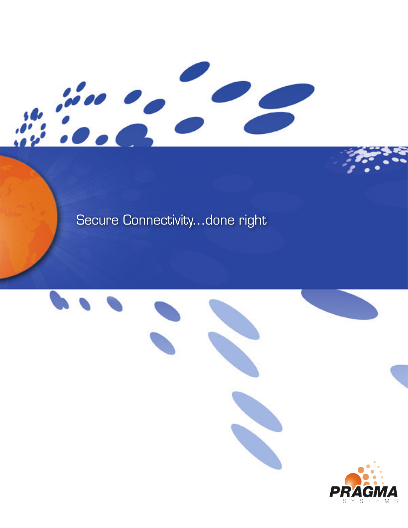## Secure Connectivity...done right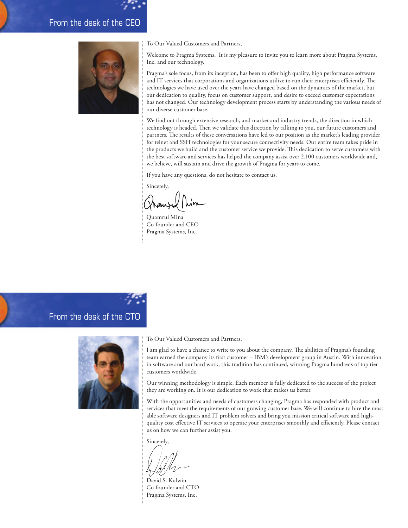### From the desk of the CEO



To Our Valued Customers and Partners,

Welcome to Pragma Systems. It is my pleasure to invite you to learn more about Pragma Systems, Inc. and our technology.

Pragma's sole focus, from its inception, has been to offer high quality, high performance software and IT services that corporations and organizations utilize to run their enterprises efficiently. The technologies we have used over the years have changed based on the dynamics of the market, but our dedication to quality, focus on customer support, and desire to exceed customer expectations has not changed. Our technology development process starts by understanding the various needs of our diverse customer base.

We find out through extensive research, and market and industry trends, the direction in which technology is headed. Then we validate this direction by talking to you, our future customers and partners. The results of these conversations have led to our position as the market's leading provider for telnet and SSH technologies for your secure connectivity needs. Our entire team takes pride in the products we build and the customer service we provide. This dedication to serve customers with the best software and services has helped the company assist over 2,100 customers worldwide and, we believe, will sustain and drive the growth of Pragma for years to come.

If you have any questions, do not hesitate to contact us.

Sincerely,

Quamrul Mina Co-founder and CEO Pragma Systems, Inc.

From the desk of the CTO



To Our Valued Customers and Partners,

I am glad to have a chance to write to you about the company. The abilities of Pragma's founding team earned the company its first customer – IBM's development group in Austin. With innovation in software and our hard work, this tradition has continued, winning Pragma hundreds of top tier customers worldwide.

Our winning methodology is simple. Each member is fully dedicated to the success of the project they are working on. It is our dedication to work that makes us better.

With the opportunities and needs of customers changing, Pragma has responded with product and services that meet the requirements of our growing customer base. We will continue to hire the most able software designers and IT problem solvers and bring you mission critical software and highquality cost effective IT services to operate your enterprises smoothly and efficiently. Please contact us on how we can further assist you.

Sincerely,

David S. Kulwin Co-founder and CTO Pragma Systems, Inc.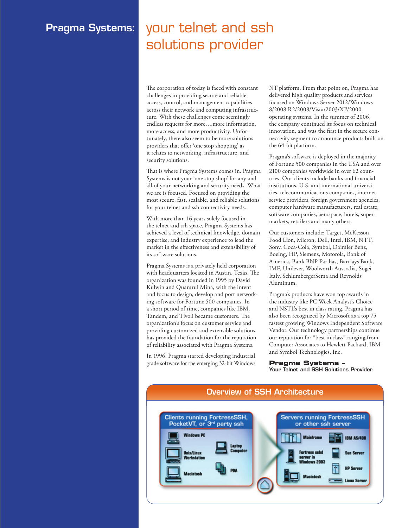## Pragma Systems: your telnet and ssh solutions provider

The corporation of today is faced with constant challenges in providing secure and reliable access, control, and management capabilities across their network and computing infrastructure. With these challenges come seemingly endless requests for more….more information, more access, and more productivity. Unfortunately, there also seem to be more solutions providers that offer 'one stop shopping' as it relates to networking, infrastructure, and security solutions.

That is where Pragma Systems comes in. Pragma Systems is not your 'one stop shop' for any and all of your networking and security needs. What we are is focused. Focused on providing the most secure, fast, scalable, and reliable solutions for your telnet and ssh connectivity needs.

With more than 16 years solely focused in the telnet and ssh space, Pragma Systems has achieved a level of technical knowledge, domain expertise, and industry experience to lead the market in the effectiveness and extensibility of its software solutions.

Pragma Systems is a privately held corporation with headquarters located in Austin, Texas. The organization was founded in 1995 by David Kulwin and Quamrul Mina, with the intent and focus to design, develop and port networking software for Fortune 500 companies. In a short period of time, companies like IBM, Tandem, and Tivoli became customers. The organization's focus on customer service and providing customized and extensible solutions has provided the foundation for the reputation of reliability associated with Pragma Systems.

In 1996, Pragma started developing industrial grade software for the emerging 32-bit Windows NT platform. From that point on, Pragma has delivered high quality products and services focused on Windows Server 2012/Windows 8/2008 R2/2008/Vista/2003/XP/2000 operating systems. In the summer of 2006, the company continued its focus on technical innovation, and was the first in the secure connectivity segment to announce products built on the 64-bit platform.

Pragma's software is deployed in the majority of Fortune 500 companies in the USA and over 2100 companies worldwide in over 62 countries. Our clients include banks and financial institutions, U.S. and international universities, telecommunications companies, internet service providers, foreign government agencies, computer hardware manufacturers, real estate, software companies, aerospace, hotels, supermarkets, retailers and many others.

Our customers include: Target, McKesson, Food Lion, Micron, Dell, Intel, IBM, NTT, Sony, Coca-Cola, Symbol, Daimler Benz, Boeing, HP, Siemens, Motorola, Bank of America, Bank BNP-Paribas, Barclays Bank, IMF, Unilever, Woolworth Australia, Sogei Italy, SchlumbergerSema and Reynolds Aluminum.

Pragma's products have won top awards in the industry like PC Week Analyst's Choice and NSTL's best in class rating. Pragma has also been recognized by Microsoft as a top 75 fastest growing Windows Independent Software Vendor. Our technology partnerships continue our reputation for "best in class" ranging from Computer Associates to Hewlett-Packard, IBM and Symbol Technologies, Inc.

### **Pragma Systems –**

Your Telnet and SSH Solutions Provider.

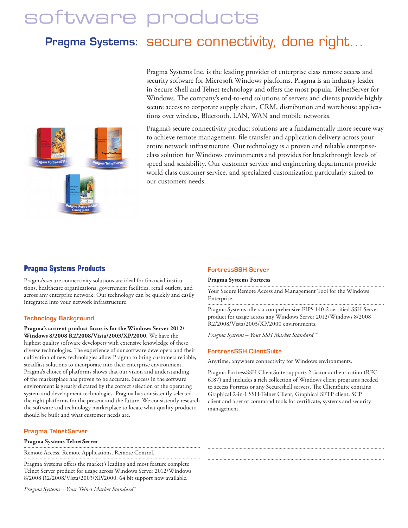# software products

## Pragma Systems: Secure connectivity, done right...



Pragma Systems Inc. is the leading provider of enterprise class remote access and security software for Microsoft Windows platforms. Pragma is an industry leader in Secure Shell and Telnet technology and offers the most popular TelnetServer for Windows. The company's end-to-end solutions of servers and clients provide highly secure access to corporate supply chain, CRM, distribution and warehouse applications over wireless, Bluetooth, LAN, WAN and mobile networks.

Pragma's secure connectivity product solutions are a fundamentally more secure way to achieve remote management, file transfer and application delivery across your entire network infrastructure. Our technology is a proven and reliable enterpriseclass solution for Windows environments and provides for breakthrough levels of speed and scalability. Our customer service and engineering departments provide world class customer service, and specialized customization particularly suited to our customers needs.

### **Pragma Systems Products**

Pragma's secure connectivity solutions are ideal for financial institutions, healthcare organizations, government facilities, retail outlets, and across any enterprise network. Our technology can be quickly and easily integrated into your network infrastructure.

### Technology Background

**Pragma's current product focus is for the Windows Server 2012/ Windows 8/2008 R2/2008/Vista/2003/XP/2000.** We have the highest quality software developers with extensive knowledge of these diverse technologies. The experience of our software developers and their cultivation of new technologies allow Pragma to bring customers reliable, steadfast solutions to incorporate into their enterprise environment. Pragma's choice of platforms shows that our vision and understanding of the marketplace has proven to be accurate. Success in the software environment is greatly dictated by the correct selection of the operating system and development technologies. Pragma has consistently selected the right platforms for the present and the future. We consistently research the software and technology marketplace to locate what quality products should be built and what customer needs are.

### Pragma TelnetServer

**Pragma Systems TelnetServer**

Remote Access. Remote Applications. Remote Control.

Pragma Systems offers the market's leading and most feature complete Telnet Server product for usage across Windows Server 2012/Windows 8/2008 R2/2008/Vista/2003/XP/2000. 64 bit support now available.

*Pragma Systems – Your Telnet Market Standard™*

### FortressSSH Server

### **Pragma Systems Fortress**

Your Secure Remote Access and Management Tool for the Windows Enterprise.

Pragma Systems offers a comprehensive FIPS 140-2 certified SSH Server product for usage across any Windows Server 2012/Windows 8/2008 R2/2008/Vista/2003/XP/2000 environments.

*Pragma Systems – Your SSH Market Standard™*

### FortressSSH ClientSuite

Anytime, anywhere connectivity for Windows environments.

Pragma FortressSSH ClientSuite supports 2-factor authentication (RFC 6187) and includes a rich collection of Windows client programs needed to access Fortress or any Secureshell servers. The ClientSuite contains Graphical 2-in-1 SSH-Telnet Client, Graphical SFTP client, SCP client and a set of command tools for certificate, systems and security management.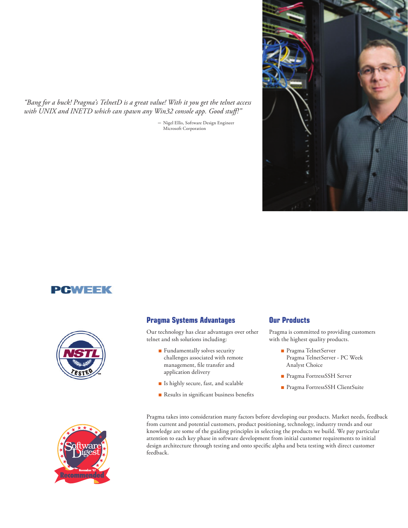*"Bang for a buck! Pragma's TelnetD is a great value! With it you get the telnet access with UNIX and INETD which can spawn any Win32 console app. Good stuff!"*

*–* Nigel Ellis, Software Design Engineer Microsoft Corporation



## PGWEEK



### **Pragma Systems Advantages**

Our technology has clear advantages over other telnet and ssh solutions including:

- Fundamentally solves security challenges associated with remote management, file transfer and application delivery
- Is highly secure, fast, and scalable
- **n** Results in significant business benefits

### **Our Products**

Pragma is committed to providing customers with the highest quality products.

- Pragma TelnetServer Pragma TelnetServer - PC Week Analyst Choice
- **n** Pragma FortressSSH Server
- <sup>n</sup> Pragma FortressSSH ClientSuite



Pragma takes into consideration many factors before developing our products. Market needs, feedback from current and potential customers, product positioning, technology, industry trends and our knowledge are some of the guiding principles in selecting the products we build. We pay particular attention to each key phase in software development from initial customer requirements to initial design architecture through testing and onto specific alpha and beta testing with direct customer feedback.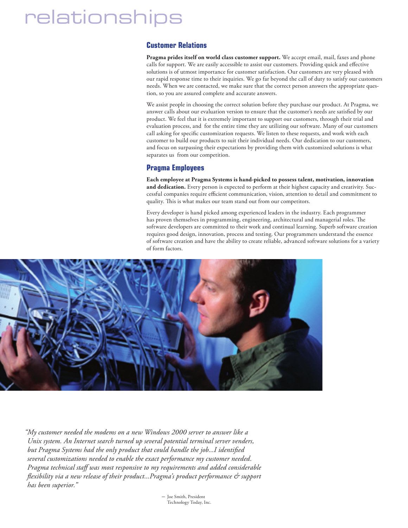# relationships

### **Customer Relations**

**Pragma prides itself on world class customer support.** We accept email, mail, faxes and phone calls for support. We are easily accessible to assist our customers. Providing quick and effective solutions is of utmost importance for customer satisfaction. Our customers are very pleased with our rapid response time to their inquiries. We go far beyond the call of duty to satisfy our customers needs. When we are contacted, we make sure that the correct person answers the appropriate question, so you are assured complete and accurate answers.

We assist people in choosing the correct solution before they purchase our product. At Pragma, we answer calls about our evaluation version to ensure that the customer's needs are satisfied by our product. We feel that it is extremely important to support our customers, through their trial and evaluation process, and for the entire time they are utilizing our software. Many of our customers call asking for specific customization requests. We listen to these requests, and work with each customer to build our products to suit their individual needs. Our dedication to our customers, and focus on surpassing their expectations by providing them with customized solutions is what separates us from our competition.

### **Pragma Employees**

**Each employee at Pragma Systems is hand-picked to possess talent, motivation, innovation**  and dedication. Every person is expected to perform at their highest capacity and creativity. Successful companies require efficient communication, vision, attention to detail and commitment to quality. This is what makes our team stand out from our competitors.

Every developer is hand picked among experienced leaders in the industry. Each programmer has proven themselves in programming, engineering, architectural and managerial roles. The software developers are committed to their work and continual learning. Superb software creation requires good design, innovation, process and testing. Our programmers understand the essence of software creation and have the ability to create reliable, advanced software solutions for a variety of form factors.



*"My customer needed the modems on a new Windows 2000 server to answer like a Unix system. An Internet search turned up several potential terminal server venders, but Pragma Systems had the only product that could handle the job...I identified several customizations needed to enable the exact performance my customer needed. Pragma technical staff was most responsive to my requirements and added considerable flexibility via a new release of their product...Pragma's product performance & support has been superior."* 

> *–* Joe Smith, President Technology Today, Inc.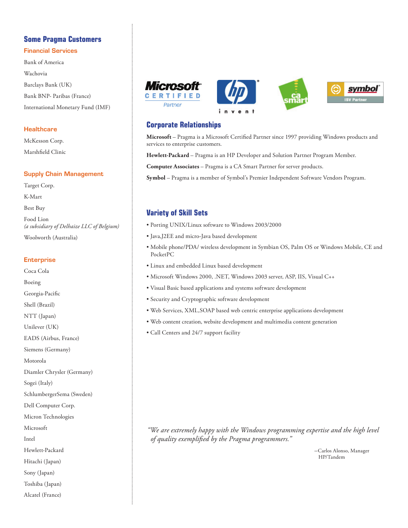### **Some Pragma Customers**

### Financial Services

Bank of America Wachovia Barclays Bank (UK) Bank BNP- Paribas (France) International Monetary Fund (IMF)

### **Healthcare**

McKesson Corp. Marshfield Clinic

### Supply Chain Management

Target Corp. K-Mart Best Buy Food Lion *(a subsidiary of Delhaize LLC of Belgium)* Woolworth (Australia)

### **Enterprise**

Coca Cola Boeing Georgia-Pacific Shell (Brazil) NTT (Japan) Unilever (UK) EADS (Airbus, France) Siemens (Germany) Motorola Diamler Chrysler (Germany) Sogei (Italy) SchlumbergerSema (Sweden) Dell Computer Corp. Micron Technologies Microsoft Intel Hewlett-Packard Hitachi (Japan) Sony (Japan) Toshiba (Japan) Alcatel (France)





**Microsoft** – Pragma is a Microsoft Certified Partner since 1997 providing Windows products and services to enterprise customers.

**Hewlett-Packard** – Pragma is an HP Developer and Solution Partner Program Member.

**Computer Associates** – Pragma is a CA Smart Partner for server products.

**Symbol** – Pragma is a member of Symbol's Premier Independent Software Vendors Program.

### **Variety of Skill Sets**

- Porting UNIX/Linux software to Windows 2003/2000
- Java,J2EE and micro-Java based development
- Mobile phone/PDA/ wireless development in Symbian OS, Palm OS or Windows Mobile, CE and PocketPC
- Linux and embedded Linux based development
- Microsoft Windows 2000, .NET, Windows 2003 server, ASP, IIS, Visual C++
- Visual Basic based applications and systems software development
- Security and Cryptographic software development
- Web Services, XML,SOAP based web centric enterprise applications development
- Web content creation, website development and multimedia content generation
- Call Centers and 24/7 support facility

*"We are extremely happy with the Windows programming expertise and the high level of quality exemplified by the Pragma programmers."*

> *–*Carlos Alonso, Manager HP/Tandem

symbol